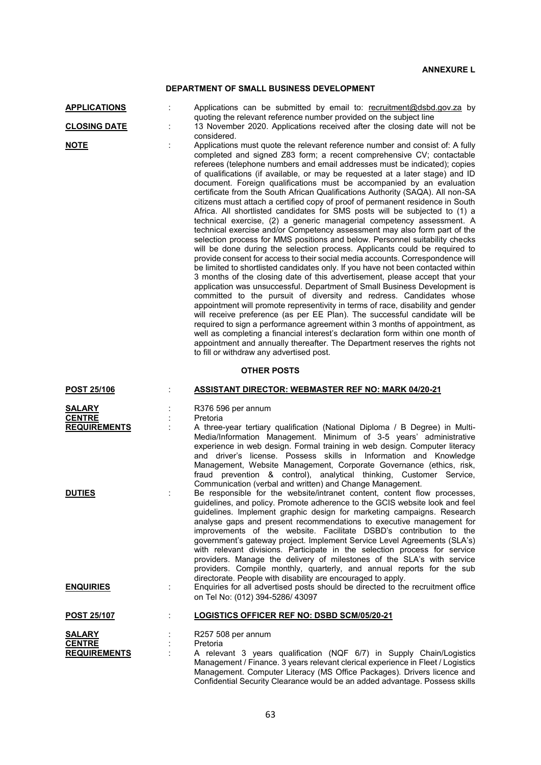## **DEPARTMENT OF SMALL BUSINESS DEVELOPMENT**

| <b>APPLICATIONS</b>                                   | Applications can be submitted by email to: recruitment@dsbd.gov.za by                                                                                                                                                                                                                                                                                                                                                                                                                                                                                                                                                                                                                                                                                                                                                                                                                                                                                                                                                                                                                                                                                                                                                                                                                                                                                                                                                                                                                                                                                                                                                                                                                                                                                                                                                                                     |
|-------------------------------------------------------|-----------------------------------------------------------------------------------------------------------------------------------------------------------------------------------------------------------------------------------------------------------------------------------------------------------------------------------------------------------------------------------------------------------------------------------------------------------------------------------------------------------------------------------------------------------------------------------------------------------------------------------------------------------------------------------------------------------------------------------------------------------------------------------------------------------------------------------------------------------------------------------------------------------------------------------------------------------------------------------------------------------------------------------------------------------------------------------------------------------------------------------------------------------------------------------------------------------------------------------------------------------------------------------------------------------------------------------------------------------------------------------------------------------------------------------------------------------------------------------------------------------------------------------------------------------------------------------------------------------------------------------------------------------------------------------------------------------------------------------------------------------------------------------------------------------------------------------------------------------|
| <b>CLOSING DATE</b>                                   | quoting the relevant reference number provided on the subject line<br>13 November 2020. Applications received after the closing date will not be                                                                                                                                                                                                                                                                                                                                                                                                                                                                                                                                                                                                                                                                                                                                                                                                                                                                                                                                                                                                                                                                                                                                                                                                                                                                                                                                                                                                                                                                                                                                                                                                                                                                                                          |
| <b>NOTE</b>                                           | considered.<br>Applications must quote the relevant reference number and consist of: A fully<br>completed and signed Z83 form; a recent comprehensive CV; contactable<br>referees (telephone numbers and email addresses must be indicated); copies<br>of qualifications (if available, or may be requested at a later stage) and ID<br>document. Foreign qualifications must be accompanied by an evaluation<br>certificate from the South African Qualifications Authority (SAQA). All non-SA<br>citizens must attach a certified copy of proof of permanent residence in South<br>Africa. All shortlisted candidates for SMS posts will be subjected to (1) a<br>technical exercise, (2) a generic managerial competency assessment. A<br>technical exercise and/or Competency assessment may also form part of the<br>selection process for MMS positions and below. Personnel suitability checks<br>will be done during the selection process. Applicants could be required to<br>provide consent for access to their social media accounts. Correspondence will<br>be limited to shortlisted candidates only. If you have not been contacted within<br>3 months of the closing date of this advertisement, please accept that your<br>application was unsuccessful. Department of Small Business Development is<br>committed to the pursuit of diversity and redress. Candidates whose<br>appointment will promote representivity in terms of race, disability and gender<br>will receive preference (as per EE Plan). The successful candidate will be<br>required to sign a performance agreement within 3 months of appointment, as<br>well as completing a financial interest's declaration form within one month of<br>appointment and annually thereafter. The Department reserves the rights not<br>to fill or withdraw any advertised post. |
|                                                       | <b>OTHER POSTS</b>                                                                                                                                                                                                                                                                                                                                                                                                                                                                                                                                                                                                                                                                                                                                                                                                                                                                                                                                                                                                                                                                                                                                                                                                                                                                                                                                                                                                                                                                                                                                                                                                                                                                                                                                                                                                                                        |
| <b>POST 25/106</b>                                    | <b>ASSISTANT DIRECTOR: WEBMASTER REF NO: MARK 04/20-21</b>                                                                                                                                                                                                                                                                                                                                                                                                                                                                                                                                                                                                                                                                                                                                                                                                                                                                                                                                                                                                                                                                                                                                                                                                                                                                                                                                                                                                                                                                                                                                                                                                                                                                                                                                                                                                |
| <b>SALARY</b><br><b>CENTRE</b><br><b>REQUIREMENTS</b> | R376 596 per annum<br>Pretoria<br>A three-year tertiary qualification (National Diploma / B Degree) in Multi-<br>Media/Information Management. Minimum of 3-5 years' administrative<br>experience in web design. Formal training in web design. Computer literacy<br>and driver's license. Possess skills in Information and Knowledge<br>Management, Website Management, Corporate Governance (ethics, risk,<br>fraud prevention & control), analytical thinking, Customer Service,                                                                                                                                                                                                                                                                                                                                                                                                                                                                                                                                                                                                                                                                                                                                                                                                                                                                                                                                                                                                                                                                                                                                                                                                                                                                                                                                                                      |
| <b>DUTIES</b><br><b>ENQUIRIES</b>                     | Communication (verbal and written) and Change Management.<br>Be responsible for the website/intranet content, content flow processes,<br>guidelines, and policy. Promote adherence to the GCIS website look and feel<br>guidelines. Implement graphic design for marketing campaigns. Research<br>analyse gaps and present recommendations to executive management for<br>improvements of the website. Facilitate DSBD's contribution to the<br>government's gateway project. Implement Service Level Agreements (SLA's)<br>with relevant divisions. Participate in the selection process for service<br>providers. Manage the delivery of milestones of the SLA's with service<br>providers. Compile monthly, quarterly, and annual reports for the sub<br>directorate. People with disability are encouraged to apply.<br>Enquiries for all advertised posts should be directed to the recruitment office                                                                                                                                                                                                                                                                                                                                                                                                                                                                                                                                                                                                                                                                                                                                                                                                                                                                                                                                               |
|                                                       | on Tel No: (012) 394-5286/ 43097                                                                                                                                                                                                                                                                                                                                                                                                                                                                                                                                                                                                                                                                                                                                                                                                                                                                                                                                                                                                                                                                                                                                                                                                                                                                                                                                                                                                                                                                                                                                                                                                                                                                                                                                                                                                                          |
| <b>POST 25/107</b>                                    | <b>LOGISTICS OFFICER REF NO: DSBD SCM/05/20-21</b>                                                                                                                                                                                                                                                                                                                                                                                                                                                                                                                                                                                                                                                                                                                                                                                                                                                                                                                                                                                                                                                                                                                                                                                                                                                                                                                                                                                                                                                                                                                                                                                                                                                                                                                                                                                                        |
| SALARY<br><b>CENTRE</b><br><b>REQUIREMENTS</b>        | R257 508 per annum<br>Pretoria<br>A relevant 3 years qualification (NQF 6/7) in Supply Chain/Logistics<br>Management / Finance. 3 years relevant clerical experience in Fleet / Logistics<br>Management. Computer Literacy (MS Office Packages). Drivers licence and                                                                                                                                                                                                                                                                                                                                                                                                                                                                                                                                                                                                                                                                                                                                                                                                                                                                                                                                                                                                                                                                                                                                                                                                                                                                                                                                                                                                                                                                                                                                                                                      |

Confidential Security Clearance would be an added advantage. Possess skills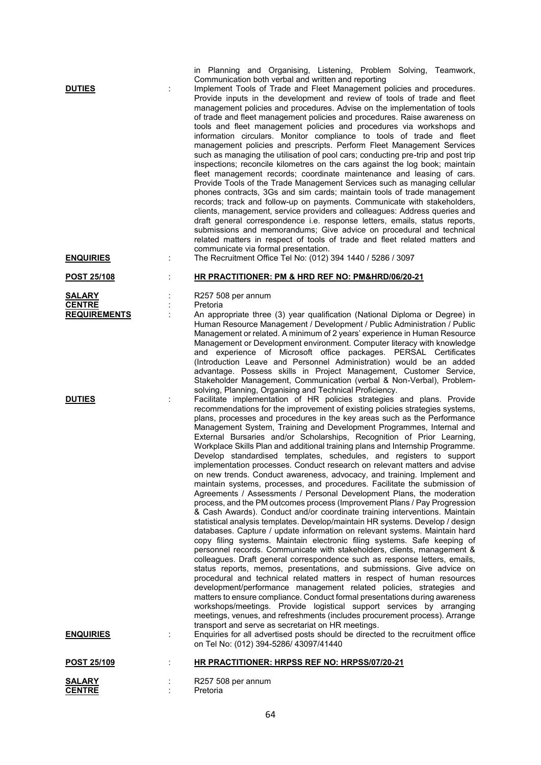| <b>DUTIES</b><br><b>ENQUIRIES</b>                     | in Planning and Organising, Listening, Problem Solving, Teamwork,<br>Communication both verbal and written and reporting<br>Implement Tools of Trade and Fleet Management policies and procedures.<br>Provide inputs in the development and review of tools of trade and fleet<br>management policies and procedures. Advise on the implementation of tools<br>of trade and fleet management policies and procedures. Raise awareness on<br>tools and fleet management policies and procedures via workshops and<br>information circulars. Monitor compliance to tools of trade and fleet<br>management policies and prescripts. Perform Fleet Management Services<br>such as managing the utilisation of pool cars; conducting pre-trip and post trip<br>inspections; reconcile kilometres on the cars against the log book; maintain<br>fleet management records; coordinate maintenance and leasing of cars.<br>Provide Tools of the Trade Management Services such as managing cellular<br>phones contracts, 3Gs and sim cards; maintain tools of trade management<br>records; track and follow-up on payments. Communicate with stakeholders,<br>clients, management, service providers and colleagues: Address queries and<br>draft general correspondence i.e. response letters, emails, status reports,<br>submissions and memorandums; Give advice on procedural and technical<br>related matters in respect of tools of trade and fleet related matters and<br>communicate via formal presentation.<br>The Recruitment Office Tel No: (012) 394 1440 / 5286 / 3097                                                                                                                                                                                                                                                                                                                                                                   |
|-------------------------------------------------------|------------------------------------------------------------------------------------------------------------------------------------------------------------------------------------------------------------------------------------------------------------------------------------------------------------------------------------------------------------------------------------------------------------------------------------------------------------------------------------------------------------------------------------------------------------------------------------------------------------------------------------------------------------------------------------------------------------------------------------------------------------------------------------------------------------------------------------------------------------------------------------------------------------------------------------------------------------------------------------------------------------------------------------------------------------------------------------------------------------------------------------------------------------------------------------------------------------------------------------------------------------------------------------------------------------------------------------------------------------------------------------------------------------------------------------------------------------------------------------------------------------------------------------------------------------------------------------------------------------------------------------------------------------------------------------------------------------------------------------------------------------------------------------------------------------------------------------------------------------------------------------------------------------------------------------------------|
| <b>POST 25/108</b>                                    | HR PRACTITIONER: PM & HRD REF NO: PM&HRD/06/20-21                                                                                                                                                                                                                                                                                                                                                                                                                                                                                                                                                                                                                                                                                                                                                                                                                                                                                                                                                                                                                                                                                                                                                                                                                                                                                                                                                                                                                                                                                                                                                                                                                                                                                                                                                                                                                                                                                              |
| <b>SALARY</b><br><b>CENTRE</b><br><b>REQUIREMENTS</b> | R257 508 per annum<br>Pretoria<br>An appropriate three (3) year qualification (National Diploma or Degree) in<br>Human Resource Management / Development / Public Administration / Public<br>Management or related. A minimum of 2 years' experience in Human Resource<br>Management or Development environment. Computer literacy with knowledge<br>and experience of Microsoft office packages. PERSAL Certificates<br>(Introduction Leave and Personnel Administration) would be an added<br>advantage. Possess skills in Project Management, Customer Service,<br>Stakeholder Management, Communication (verbal & Non-Verbal), Problem-<br>solving, Planning, Organising and Technical Proficiency.                                                                                                                                                                                                                                                                                                                                                                                                                                                                                                                                                                                                                                                                                                                                                                                                                                                                                                                                                                                                                                                                                                                                                                                                                                        |
| <b>DUTIES</b>                                         | Facilitate implementation of HR policies strategies and plans. Provide<br>recommendations for the improvement of existing policies strategies systems,<br>plans, processes and procedures in the key areas such as the Performance<br>Management System, Training and Development Programmes, Internal and<br>External Bursaries and/or Scholarships, Recognition of Prior Learning,<br>Workplace Skills Plan and additional training plans and Internship Programme.<br>Develop standardised templates, schedules, and registers to support<br>implementation processes. Conduct research on relevant matters and advise<br>on new trends. Conduct awareness, advocacy, and training. Implement and<br>maintain systems, processes, and procedures. Facilitate the submission of<br>Agreements / Assessments / Personal Development Plans, the moderation<br>process, and the PM outcomes process (Improvement Plans / Pay Progression<br>& Cash Awards). Conduct and/or coordinate training interventions. Maintain<br>statistical analysis templates. Develop/maintain HR systems. Develop / design<br>databases. Capture / update information on relevant systems. Maintain hard<br>copy filing systems. Maintain electronic filing systems. Safe keeping of<br>personnel records. Communicate with stakeholders, clients, management &<br>colleagues. Draft general correspondence such as response letters, emails,<br>status reports, memos, presentations, and submissions. Give advice on<br>procedural and technical related matters in respect of human resources<br>development/performance management related policies, strategies and<br>matters to ensure compliance. Conduct formal presentations during awareness<br>workshops/meetings. Provide logistical support services by arranging<br>meetings, venues, and refreshments (includes procurement process). Arrange<br>transport and serve as secretariat on HR meetings. |
| <b>ENQUIRIES</b>                                      | Enquiries for all advertised posts should be directed to the recruitment office<br>on Tel No: (012) 394-5286/ 43097/41440                                                                                                                                                                                                                                                                                                                                                                                                                                                                                                                                                                                                                                                                                                                                                                                                                                                                                                                                                                                                                                                                                                                                                                                                                                                                                                                                                                                                                                                                                                                                                                                                                                                                                                                                                                                                                      |
| POST 25/109                                           | HR PRACTITIONER: HRPSS REF NO: HRPSS/07/20-21                                                                                                                                                                                                                                                                                                                                                                                                                                                                                                                                                                                                                                                                                                                                                                                                                                                                                                                                                                                                                                                                                                                                                                                                                                                                                                                                                                                                                                                                                                                                                                                                                                                                                                                                                                                                                                                                                                  |
| <b>SALARY</b><br><b>CENTRE</b>                        | R257 508 per annum<br>Pretoria                                                                                                                                                                                                                                                                                                                                                                                                                                                                                                                                                                                                                                                                                                                                                                                                                                                                                                                                                                                                                                                                                                                                                                                                                                                                                                                                                                                                                                                                                                                                                                                                                                                                                                                                                                                                                                                                                                                 |

64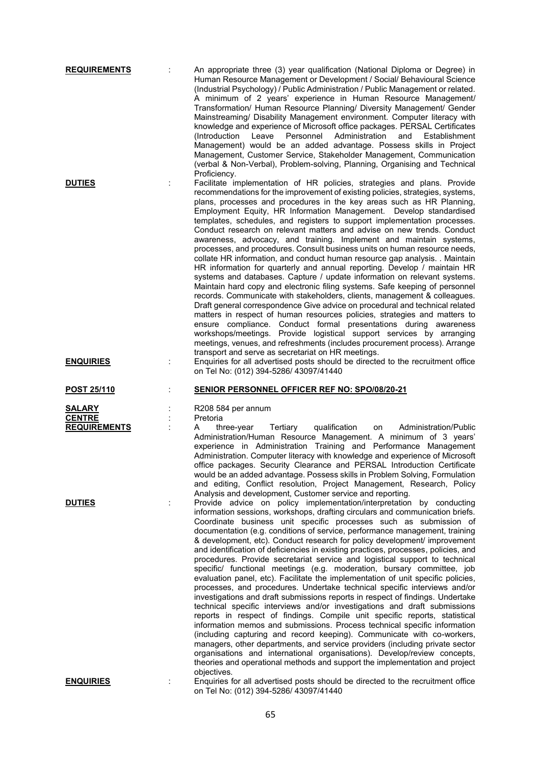| <b>REQUIREMENTS</b>                            | An appropriate three (3) year qualification (National Diploma or Degree) in<br>Human Resource Management or Development / Social/ Behavioural Science<br>(Industrial Psychology) / Public Administration / Public Management or related.<br>A minimum of 2 years' experience in Human Resource Management/<br>Transformation/ Human Resource Planning/ Diversity Management/ Gender<br>Mainstreaming/ Disability Management environment. Computer literacy with<br>knowledge and experience of Microsoft office packages. PERSAL Certificates<br>Leave<br>Personnel<br>Administration<br>(Introduction<br>and<br>Establishment<br>Management) would be an added advantage. Possess skills in Project<br>Management, Customer Service, Stakeholder Management, Communication<br>(verbal & Non-Verbal), Problem-solving, Planning, Organising and Technical                                                                                                                                                                                                                                                                                                                                                                                                                                                                                                                                                                                                                          |
|------------------------------------------------|------------------------------------------------------------------------------------------------------------------------------------------------------------------------------------------------------------------------------------------------------------------------------------------------------------------------------------------------------------------------------------------------------------------------------------------------------------------------------------------------------------------------------------------------------------------------------------------------------------------------------------------------------------------------------------------------------------------------------------------------------------------------------------------------------------------------------------------------------------------------------------------------------------------------------------------------------------------------------------------------------------------------------------------------------------------------------------------------------------------------------------------------------------------------------------------------------------------------------------------------------------------------------------------------------------------------------------------------------------------------------------------------------------------------------------------------------------------------------------|
| <b>DUTIES</b>                                  | Proficiency.<br>Facilitate implementation of HR policies, strategies and plans. Provide<br>recommendations for the improvement of existing policies, strategies, systems,<br>plans, processes and procedures in the key areas such as HR Planning,<br>Employment Equity, HR Information Management. Develop standardised<br>templates, schedules, and registers to support implementation processes.<br>Conduct research on relevant matters and advise on new trends. Conduct<br>awareness, advocacy, and training. Implement and maintain systems,<br>processes, and procedures. Consult business units on human resource needs,<br>collate HR information, and conduct human resource gap analysis. . Maintain<br>HR information for quarterly and annual reporting. Develop / maintain HR<br>systems and databases. Capture / update information on relevant systems.<br>Maintain hard copy and electronic filing systems. Safe keeping of personnel<br>records. Communicate with stakeholders, clients, management & colleagues.<br>Draft general correspondence Give advice on procedural and technical related<br>matters in respect of human resources policies, strategies and matters to<br>ensure compliance. Conduct formal presentations during awareness<br>workshops/meetings. Provide logistical support services by arranging<br>meetings, venues, and refreshments (includes procurement process). Arrange<br>transport and serve as secretariat on HR meetings. |
| <b>ENQUIRIES</b>                               | Enquiries for all advertised posts should be directed to the recruitment office<br>on Tel No: (012) 394-5286/ 43097/41440                                                                                                                                                                                                                                                                                                                                                                                                                                                                                                                                                                                                                                                                                                                                                                                                                                                                                                                                                                                                                                                                                                                                                                                                                                                                                                                                                          |
|                                                | <b>SENIOR PERSONNEL OFFICER REF NO: SPO/08/20-21</b>                                                                                                                                                                                                                                                                                                                                                                                                                                                                                                                                                                                                                                                                                                                                                                                                                                                                                                                                                                                                                                                                                                                                                                                                                                                                                                                                                                                                                               |
| <b>POST 25/110</b>                             |                                                                                                                                                                                                                                                                                                                                                                                                                                                                                                                                                                                                                                                                                                                                                                                                                                                                                                                                                                                                                                                                                                                                                                                                                                                                                                                                                                                                                                                                                    |
| SALARY<br><b>CENTRE</b><br><b>REQUIREMENTS</b> | R208 584 per annum<br>Pretoria<br>Tertiary<br>qualification<br>Administration/Public<br>A<br>three-year<br>on<br>Administration/Human Resource Management. A minimum of 3 years'<br>experience in Administration Training and Performance Management<br>Administration. Computer literacy with knowledge and experience of Microsoft<br>office packages. Security Clearance and PERSAL Introduction Certificate<br>would be an added advantage. Possess skills in Problem Solving, Formulation<br>and editing, Conflict resolution, Project Management, Research, Policy<br>Analysis and development, Customer service and reporting.                                                                                                                                                                                                                                                                                                                                                                                                                                                                                                                                                                                                                                                                                                                                                                                                                                              |
| <b>DUTIES</b>                                  | Provide advice on policy implementation/interpretation by conducting<br>information sessions, workshops, drafting circulars and communication briefs.<br>Coordinate business unit specific processes such as submission of<br>documentation (e.g. conditions of service, performance management, training<br>& development, etc). Conduct research for policy development/ improvement<br>and identification of deficiencies in existing practices, processes, policies, and<br>procedures. Provide secretariat service and logistical support to technical<br>specific/ functional meetings (e.g. moderation, bursary committee, job<br>evaluation panel, etc). Facilitate the implementation of unit specific policies,<br>processes, and procedures. Undertake technical specific interviews and/or<br>investigations and draft submissions reports in respect of findings. Undertake<br>technical specific interviews and/or investigations and draft submissions<br>reports in respect of findings. Compile unit specific reports, statistical<br>information memos and submissions. Process technical specific information<br>(including capturing and record keeping). Communicate with co-workers,<br>managers, other departments, and service providers (including private sector<br>organisations and international organisations). Develop/review concepts,<br>theories and operational methods and support the implementation and project<br>objectives.               |

65